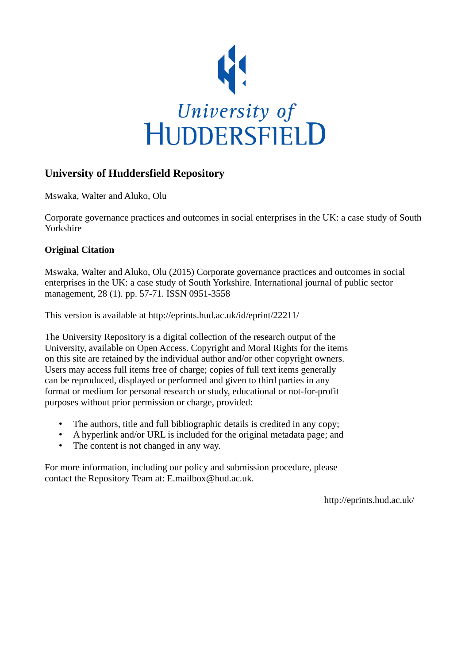

# **University of Huddersfield Repository**

Mswaka, Walter and Aluko, Olu

Corporate governance practices and outcomes in social enterprises in the UK: a case study of South Yorkshire

# **Original Citation**

Mswaka, Walter and Aluko, Olu (2015) Corporate governance practices and outcomes in social enterprises in the UK: a case study of South Yorkshire. International journal of public sector management, 28 (1). pp. 57-71. ISSN 0951-3558

This version is available at http://eprints.hud.ac.uk/id/eprint/22211/

The University Repository is a digital collection of the research output of the University, available on Open Access. Copyright and Moral Rights for the items on this site are retained by the individual author and/or other copyright owners. Users may access full items free of charge; copies of full text items generally can be reproduced, displayed or performed and given to third parties in any format or medium for personal research or study, educational or not-for-profit purposes without prior permission or charge, provided:

- The authors, title and full bibliographic details is credited in any copy;
- A hyperlink and/or URL is included for the original metadata page; and
- The content is not changed in any way.

For more information, including our policy and submission procedure, please contact the Repository Team at: E.mailbox@hud.ac.uk.

http://eprints.hud.ac.uk/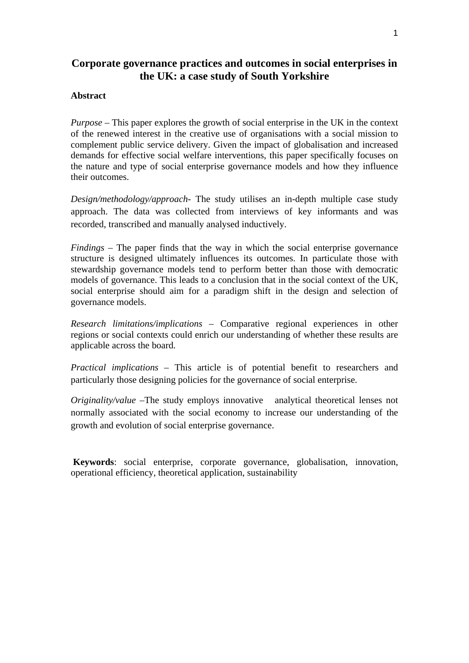# **Corporate governance practices and outcomes in social enterprises in the UK: a case study of South Yorkshire**

# **Abstract**

*Purpose* – This paper explores the growth of social enterprise in the UK in the context of the renewed interest in the creative use of organisations with a social mission to complement public service delivery. Given the impact of globalisation and increased demands for effective social welfare interventions, this paper specifically focuses on the nature and type of social enterprise governance models and how they influence their outcomes.

*Design/methodology/approach*- The study utilises an in-depth multiple case study approach. The data was collected from interviews of key informants and was recorded, transcribed and manually analysed inductively.

*Findings* – The paper finds that the way in which the social enterprise governance structure is designed ultimately influences its outcomes. In particulate those with stewardship governance models tend to perform better than those with democratic models of governance. This leads to a conclusion that in the social context of the UK, social enterprise should aim for a paradigm shift in the design and selection of governance models.

*Research limitations/implications* – Comparative regional experiences in other regions or social contexts could enrich our understanding of whether these results are applicable across the board.

*Practical implications* – This article is of potential benefit to researchers and particularly those designing policies for the governance of social enterprise.

*Originality/value* –The study employs innovative analytical theoretical lenses not normally associated with the social economy to increase our understanding of the growth and evolution of social enterprise governance.

**Keywords**: social enterprise, corporate governance, globalisation, innovation, operational efficiency, theoretical application, sustainability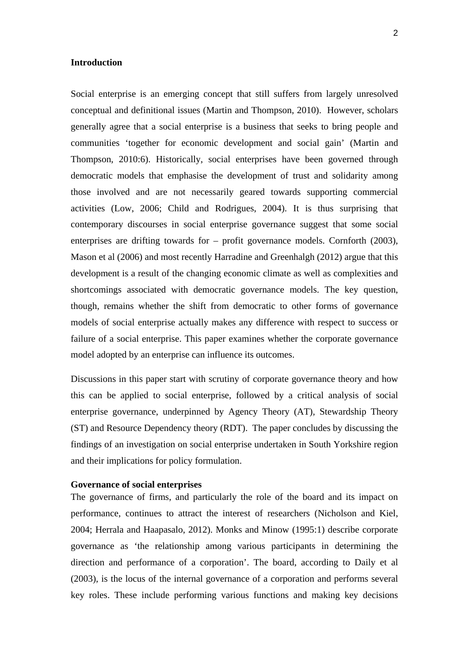# **Introduction**

Social enterprise is an emerging concept that still suffers from largely unresolved conceptual and definitional issues (Martin and Thompson, 2010). However, scholars generally agree that a social enterprise is a business that seeks to bring people and communities 'together for economic development and social gain' (Martin and Thompson, 2010:6). Historically, social enterprises have been governed through democratic models that emphasise the development of trust and solidarity among those involved and are not necessarily geared towards supporting commercial activities (Low, 2006; Child and Rodrigues, 2004). It is thus surprising that contemporary discourses in social enterprise governance suggest that some social enterprises are drifting towards for – profit governance models. Cornforth (2003), Mason et al (2006) and most recently Harradine and Greenhalgh (2012) argue that this development is a result of the changing economic climate as well as complexities and shortcomings associated with democratic governance models. The key question, though, remains whether the shift from democratic to other forms of governance models of social enterprise actually makes any difference with respect to success or failure of a social enterprise. This paper examines whether the corporate governance model adopted by an enterprise can influence its outcomes.

Discussions in this paper start with scrutiny of corporate governance theory and how this can be applied to social enterprise, followed by a critical analysis of social enterprise governance, underpinned by Agency Theory (AT), Stewardship Theory (ST) and Resource Dependency theory (RDT). The paper concludes by discussing the findings of an investigation on social enterprise undertaken in South Yorkshire region and their implications for policy formulation.

## **Governance of social enterprises**

The governance of firms, and particularly the role of the board and its impact on performance, continues to attract the interest of researchers (Nicholson and Kiel, 2004; Herrala and Haapasalo, 2012). Monks and Minow (1995:1) describe corporate governance as 'the relationship among various participants in determining the direction and performance of a corporation'. The board, according to Daily et al (2003), is the locus of the internal governance of a corporation and performs several key roles. These include performing various functions and making key decisions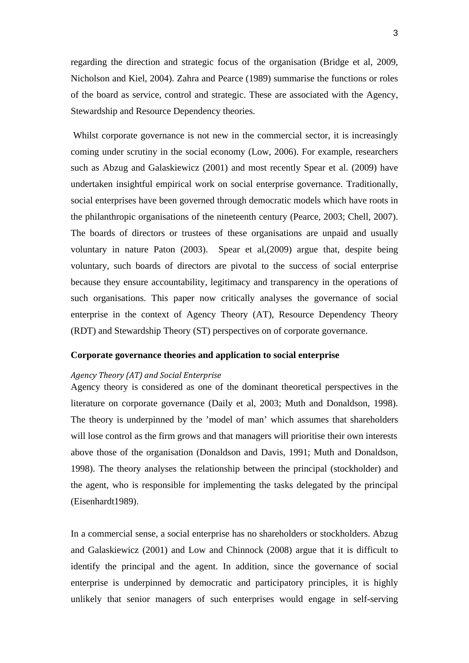regarding the direction and strategic focus of the organisation (Bridge et al, 2009, Nicholson and Kiel, 2004). Zahra and Pearce (1989) summarise the functions or roles of the board as service, control and strategic. These are associated with the Agency, Stewardship and Resource Dependency theories.

Whilst corporate governance is not new in the commercial sector, it is increasingly coming under scrutiny in the social economy (Low, 2006). For example, researchers such as Abzug and Galaskiewicz (2001) and most recently Spear et al. (2009) have undertaken insightful empirical work on social enterprise governance. Traditionally, social enterprises have been governed through democratic models which have roots in the philanthropic organisations of the nineteenth century (Pearce, 2003; Chell, 2007). The boards of directors or trustees of these organisations are unpaid and usually voluntary in nature Paton (2003). Spear et al,(2009) argue that, despite being voluntary, such boards of directors are pivotal to the success of social enterprise because they ensure accountability, legitimacy and transparency in the operations of such organisations. This paper now critically analyses the governance of social enterprise in the context of Agency Theory (AT), Resource Dependency Theory (RDT) and Stewardship Theory (ST) perspectives on of corporate governance.

# **Corporate governance theories and application to social enterprise**

# *Agency Theory (AT) and Social Enterprise*

Agency theory is considered as one of the dominant theoretical perspectives in the literature on corporate governance (Daily et al, 2003; Muth and Donaldson, 1998). The theory is underpinned by the 'model of man' which assumes that shareholders will lose control as the firm grows and that managers will prioritise their own interests above those of the organisation (Donaldson and Davis, 1991; Muth and Donaldson, 1998). The theory analyses the relationship between the principal (stockholder) and the agent, who is responsible for implementing the tasks delegated by the principal (Eisenhardt1989).

In a commercial sense, a social enterprise has no shareholders or stockholders. Abzug and Galaskiewicz (2001) and Low and Chinnock (2008) argue that it is difficult to identify the principal and the agent. In addition, since the governance of social enterprise is underpinned by democratic and participatory principles, it is highly unlikely that senior managers of such enterprises would engage in self-serving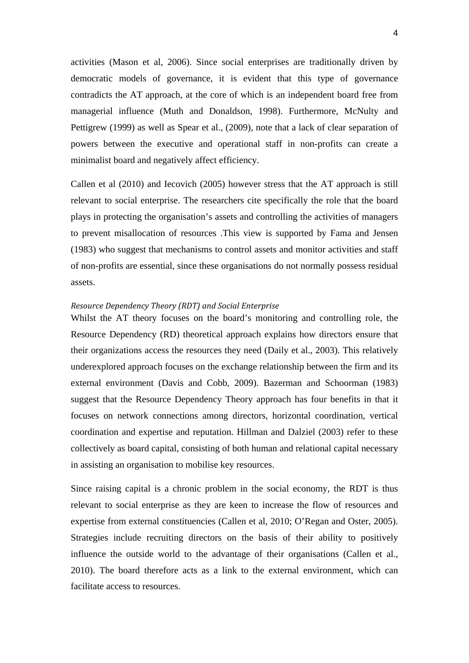activities (Mason et al, 2006). Since social enterprises are traditionally driven by democratic models of governance, it is evident that this type of governance contradicts the AT approach, at the core of which is an independent board free from managerial influence (Muth and Donaldson, 1998). Furthermore, McNulty and Pettigrew (1999) as well as Spear et al., (2009), note that a lack of clear separation of powers between the executive and operational staff in non-profits can create a minimalist board and negatively affect efficiency.

Callen et al (2010) and Iecovich (2005) however stress that the AT approach is still relevant to social enterprise. The researchers cite specifically the role that the board plays in protecting the organisation's assets and controlling the activities of managers to prevent misallocation of resources .This view is supported by Fama and Jensen (1983) who suggest that mechanisms to control assets and monitor activities and staff of non-profits are essential, since these organisations do not normally possess residual assets.

# *Resource Dependency Theory (RDT) and Social Enterprise*

Whilst the AT theory focuses on the board's monitoring and controlling role, the Resource Dependency (RD) theoretical approach explains how directors ensure that their organizations access the resources they need (Daily et al., 2003). This relatively underexplored approach focuses on the exchange relationship between the firm and its external environment (Davis and Cobb, 2009). Bazerman and Schoorman (1983) suggest that the Resource Dependency Theory approach has four benefits in that it focuses on network connections among directors, horizontal coordination, vertical coordination and expertise and reputation. Hillman and Dalziel (2003) refer to these collectively as board capital, consisting of both human and relational capital necessary in assisting an organisation to mobilise key resources.

Since raising capital is a chronic problem in the social economy, the RDT is thus relevant to social enterprise as they are keen to increase the flow of resources and expertise from external constituencies (Callen et al, 2010; O'Regan and Oster, 2005). Strategies include recruiting directors on the basis of their ability to positively influence the outside world to the advantage of their organisations (Callen et al., 2010). The board therefore acts as a link to the external environment, which can facilitate access to resources.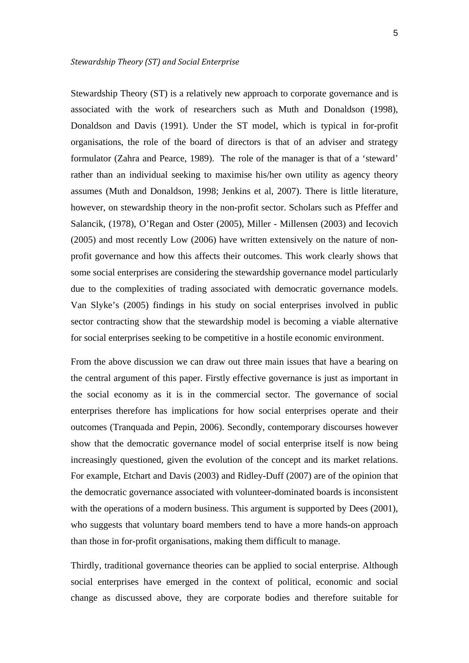Stewardship Theory (ST) is a relatively new approach to corporate governance and is associated with the work of researchers such as Muth and Donaldson (1998), Donaldson and Davis (1991). Under the ST model, which is typical in for-profit organisations, the role of the board of directors is that of an adviser and strategy formulator (Zahra and Pearce, 1989). The role of the manager is that of a 'steward' rather than an individual seeking to maximise his/her own utility as agency theory assumes (Muth and Donaldson, 1998; Jenkins et al, 2007). There is little literature, however, on stewardship theory in the non-profit sector. Scholars such as Pfeffer and Salancik, (1978), O'Regan and Oster (2005), Miller - Millensen (2003) and Iecovich (2005) and most recently Low (2006) have written extensively on the nature of nonprofit governance and how this affects their outcomes. This work clearly shows that some social enterprises are considering the stewardship governance model particularly due to the complexities of trading associated with democratic governance models. Van Slyke's (2005) findings in his study on social enterprises involved in public sector contracting show that the stewardship model is becoming a viable alternative for social enterprises seeking to be competitive in a hostile economic environment.

From the above discussion we can draw out three main issues that have a bearing on the central argument of this paper. Firstly effective governance is just as important in the social economy as it is in the commercial sector. The governance of social enterprises therefore has implications for how social enterprises operate and their outcomes (Tranquada and Pepin, 2006). Secondly, contemporary discourses however show that the democratic governance model of social enterprise itself is now being increasingly questioned, given the evolution of the concept and its market relations. For example, Etchart and Davis (2003) and Ridley-Duff (2007) are of the opinion that the democratic governance associated with volunteer-dominated boards is inconsistent with the operations of a modern business. This argument is supported by Dees (2001), who suggests that voluntary board members tend to have a more hands-on approach than those in for-profit organisations, making them difficult to manage.

Thirdly, traditional governance theories can be applied to social enterprise. Although social enterprises have emerged in the context of political, economic and social change as discussed above, they are corporate bodies and therefore suitable for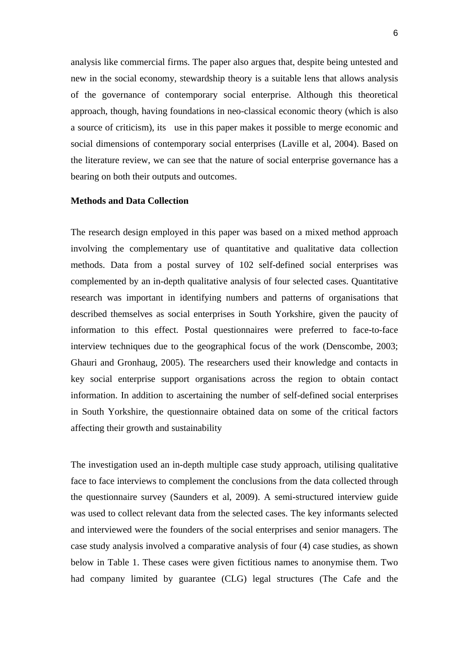analysis like commercial firms. The paper also argues that, despite being untested and new in the social economy, stewardship theory is a suitable lens that allows analysis of the governance of contemporary social enterprise. Although this theoretical approach, though, having foundations in neo-classical economic theory (which is also a source of criticism), its use in this paper makes it possible to merge economic and social dimensions of contemporary social enterprises (Laville et al, 2004). Based on the literature review, we can see that the nature of social enterprise governance has a bearing on both their outputs and outcomes.

# **Methods and Data Collection**

The research design employed in this paper was based on a mixed method approach involving the complementary use of quantitative and qualitative data collection methods. Data from a postal survey of 102 self-defined social enterprises was complemented by an in-depth qualitative analysis of four selected cases. Quantitative research was important in identifying numbers and patterns of organisations that described themselves as social enterprises in South Yorkshire, given the paucity of information to this effect. Postal questionnaires were preferred to face-to-face interview techniques due to the geographical focus of the work (Denscombe, 2003; Ghauri and Gronhaug, 2005). The researchers used their knowledge and contacts in key social enterprise support organisations across the region to obtain contact information. In addition to ascertaining the number of self-defined social enterprises in South Yorkshire, the questionnaire obtained data on some of the critical factors affecting their growth and sustainability

The investigation used an in-depth multiple case study approach, utilising qualitative face to face interviews to complement the conclusions from the data collected through the questionnaire survey (Saunders et al, 2009). A semi-structured interview guide was used to collect relevant data from the selected cases. The key informants selected and interviewed were the founders of the social enterprises and senior managers. The case study analysis involved a comparative analysis of four (4) case studies, as shown below in Table 1. These cases were given fictitious names to anonymise them. Two had company limited by guarantee (CLG) legal structures (The Cafe and the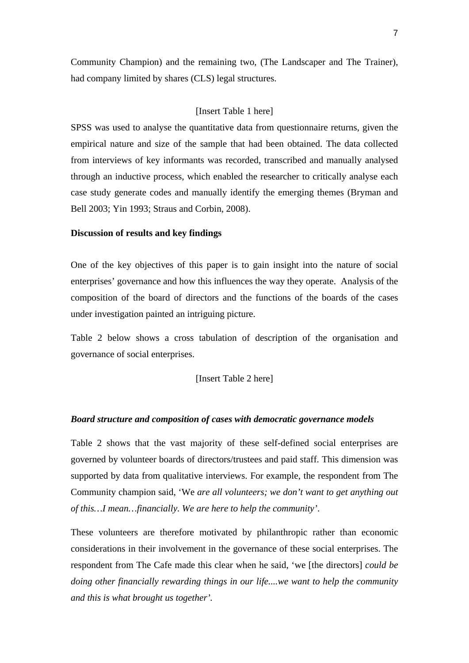Community Champion) and the remaining two, (The Landscaper and The Trainer), had company limited by shares (CLS) legal structures.

# [Insert Table 1 here]

SPSS was used to analyse the quantitative data from questionnaire returns, given the empirical nature and size of the sample that had been obtained. The data collected from interviews of key informants was recorded, transcribed and manually analysed through an inductive process, which enabled the researcher to critically analyse each case study generate codes and manually identify the emerging themes (Bryman and Bell 2003; Yin 1993; Straus and Corbin, 2008).

### **Discussion of results and key findings**

One of the key objectives of this paper is to gain insight into the nature of social enterprises' governance and how this influences the way they operate.Analysis of the composition of the board of directors and the functions of the boards of the cases under investigation painted an intriguing picture.

Table 2 below shows a cross tabulation of description of the organisation and governance of social enterprises.

# [Insert Table 2 here]

#### *Board structure and composition of cases with democratic governance models*

Table 2 shows that the vast majority of these self-defined social enterprises are governed by volunteer boards of directors/trustees and paid staff. This dimension was supported by data from qualitative interviews. For example, the respondent from The Community champion said, 'We *are all volunteers; we don't want to get anything out of this…I mean…financially. We are here to help the community'*.

These volunteers are therefore motivated by philanthropic rather than economic considerations in their involvement in the governance of these social enterprises. The respondent from The Cafe made this clear when he said, 'we [the directors] *could be doing other financially rewarding things in our life....we want to help the community and this is what brought us together'.*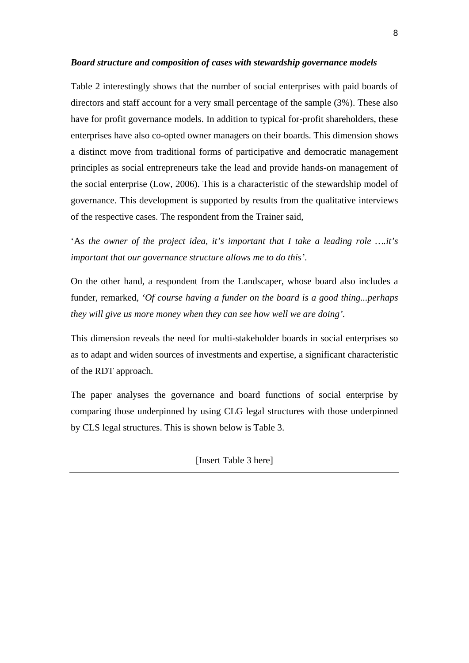# *Board structure and composition of cases with stewardship governance models*

Table 2 interestingly shows that the number of social enterprises with paid boards of directors and staff account for a very small percentage of the sample (3%). These also have for profit governance models. In addition to typical for-profit shareholders, these enterprises have also co-opted owner managers on their boards. This dimension shows a distinct move from traditional forms of participative and democratic management principles as social entrepreneurs take the lead and provide hands-on management of the social enterprise (Low, 2006). This is a characteristic of the stewardship model of governance. This development is supported by results from the qualitative interviews of the respective cases. The respondent from the Trainer said,

'A*s the owner of the project idea, it's important that I take a leading role ….it's important that our governance structure allows me to do this'*.

On the other hand, a respondent from the Landscaper, whose board also includes a funder, remarked, *'Of course having a funder on the board is a good thing...perhaps they will give us more money when they can see how well we are doing'.* 

This dimension reveals the need for multi-stakeholder boards in social enterprises so as to adapt and widen sources of investments and expertise, a significant characteristic of the RDT approach.

The paper analyses the governance and board functions of social enterprise by comparing those underpinned by using CLG legal structures with those underpinned by CLS legal structures. This is shown below is Table 3.

[Insert Table 3 here]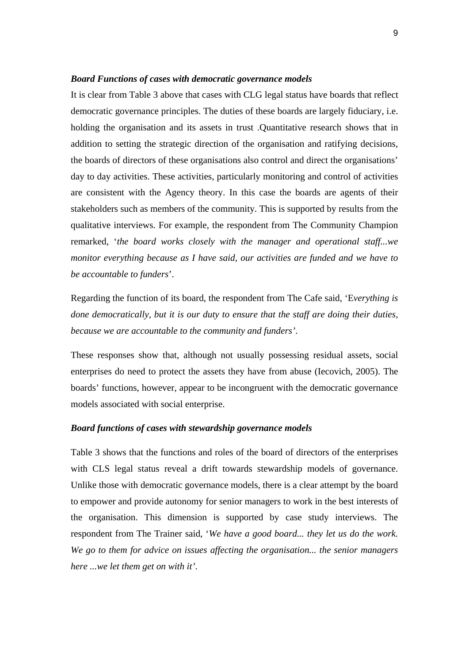#### *Board Functions of cases with democratic governance models*

It is clear from Table 3 above that cases with CLG legal status have boards that reflect democratic governance principles. The duties of these boards are largely fiduciary, i.e. holding the organisation and its assets in trust .Quantitative research shows that in addition to setting the strategic direction of the organisation and ratifying decisions, the boards of directors of these organisations also control and direct the organisations' day to day activities. These activities, particularly monitoring and control of activities are consistent with the Agency theory. In this case the boards are agents of their stakeholders such as members of the community. This is supported by results from the qualitative interviews. For example, the respondent from The Community Champion remarked, '*the board works closely with the manager and operational staff...we monitor everything because as I have said, our activities are funded and we have to be accountable to funders*'.

Regarding the function of its board, the respondent from The Cafe said, 'E*verything is done democratically, but it is our duty to ensure that the staff are doing their duties, because we are accountable to the community and funders'*.

These responses show that, although not usually possessing residual assets, social enterprises do need to protect the assets they have from abuse (Iecovich, 2005). The boards' functions, however, appear to be incongruent with the democratic governance models associated with social enterprise.

#### *Board functions of cases with stewardship governance models*

Table 3 shows that the functions and roles of the board of directors of the enterprises with CLS legal status reveal a drift towards stewardship models of governance. Unlike those with democratic governance models, there is a clear attempt by the board to empower and provide autonomy for senior managers to work in the best interests of the organisation. This dimension is supported by case study interviews. The respondent from The Trainer said, '*We have a good board... they let us do the work. We go to them for advice on issues affecting the organisation... the senior managers here ...we let them get on with it'*.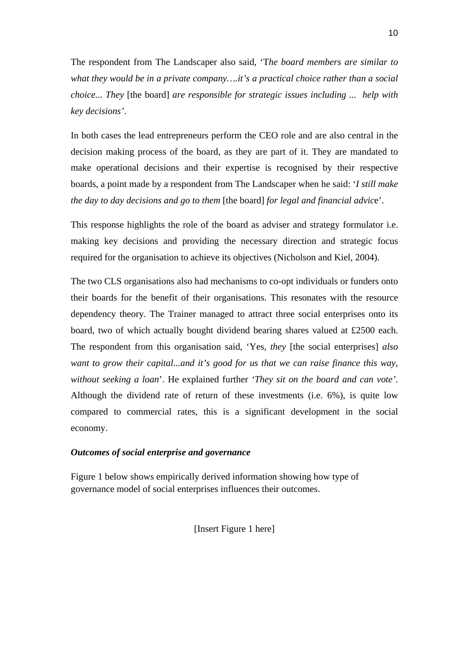The respondent from The Landscaper also said, 'T*he board members are similar to what they would be in a private company….it's a practical choice rather than a social choice... They* [the board] *are responsible for strategic issues including ... help with key decisions'*.

In both cases the lead entrepreneurs perform the CEO role and are also central in the decision making process of the board, as they are part of it. They are mandated to make operational decisions and their expertise is recognised by their respective boards, a point made by a respondent from The Landscaper when he said: '*I still make the day to day decisions and go to them* [the board] *for legal and financial advic*e'.

This response highlights the role of the board as adviser and strategy formulator i.e. making key decisions and providing the necessary direction and strategic focus required for the organisation to achieve its objectives (Nicholson and Kiel, 2004).

The two CLS organisations also had mechanisms to co-opt individuals or funders onto their boards for the benefit of their organisations. This resonates with the resource dependency theory. The Trainer managed to attract three social enterprises onto its board, two of which actually bought dividend bearing shares valued at £2500 each. The respondent from this organisation said, 'Yes*, they* [the social enterprises] *also want to grow their capital...and it's good for us that we can raise finance this way, without seeking a loan*'. He explained further *'They sit on the board and can vote'.* Although the dividend rate of return of these investments (i.e. 6%), is quite low compared to commercial rates, this is a significant development in the social economy.

# *Outcomes of social enterprise and governance*

Figure 1 below shows empirically derived information showing how type of governance model of social enterprises influences their outcomes.

[Insert Figure 1 here]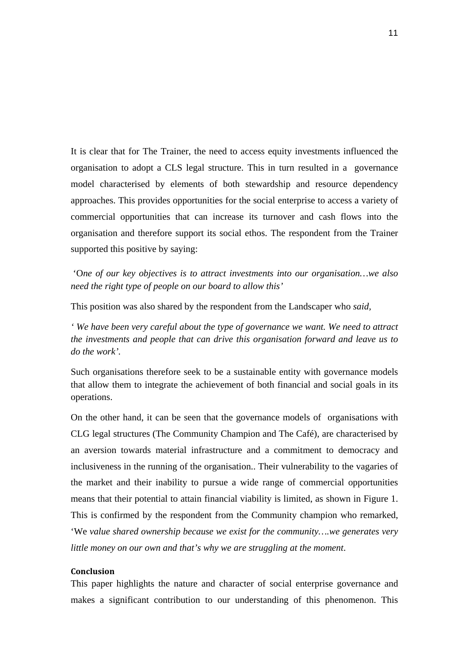It is clear that for The Trainer, the need to access equity investments influenced the organisation to adopt a CLS legal structure. This in turn resulted in a governance model characterised by elements of both stewardship and resource dependency approaches. This provides opportunities for the social enterprise to access a variety of commercial opportunities that can increase its turnover and cash flows into the organisation and therefore support its social ethos. The respondent from the Trainer supported this positive by saying:

 'O*ne of our key objectives is to attract investments into our organisation…we also need the right type of people on our board to allow this'*

This position was also shared by the respondent from the Landscaper who *said,* 

*' We have been very careful about the type of governance we want. We need to attract the investments and people that can drive this organisation forward and leave us to do the work'.*

Such organisations therefore seek to be a sustainable entity with governance models that allow them to integrate the achievement of both financial and social goals in its operations.

On the other hand, it can be seen that the governance models of organisations with CLG legal structures (The Community Champion and The Café), are characterised by an aversion towards material infrastructure and a commitment to democracy and inclusiveness in the running of the organisation.. Their vulnerability to the vagaries of the market and their inability to pursue a wide range of commercial opportunities means that their potential to attain financial viability is limited, as shown in Figure 1. This is confirmed by the respondent from the Community champion who remarked, 'We *value shared ownership because we exist for the community….we generates very little money on our own and that's why we are struggling at the moment*.

## **Conclusion**

This paper highlights the nature and character of social enterprise governance and makes a significant contribution to our understanding of this phenomenon. This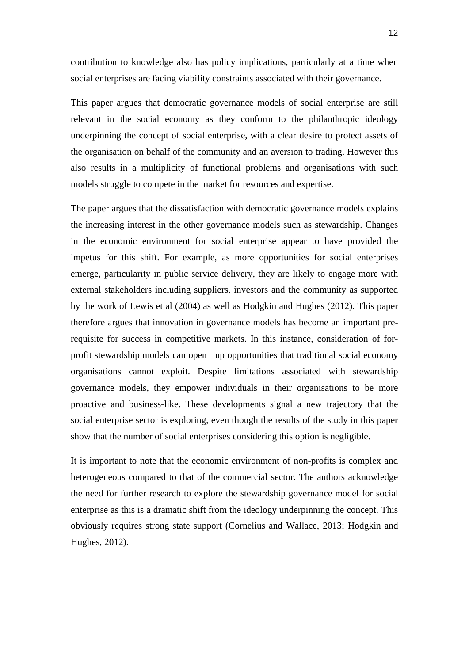contribution to knowledge also has policy implications, particularly at a time when social enterprises are facing viability constraints associated with their governance.

This paper argues that democratic governance models of social enterprise are still relevant in the social economy as they conform to the philanthropic ideology underpinning the concept of social enterprise, with a clear desire to protect assets of the organisation on behalf of the community and an aversion to trading. However this also results in a multiplicity of functional problems and organisations with such models struggle to compete in the market for resources and expertise.

The paper argues that the dissatisfaction with democratic governance models explains the increasing interest in the other governance models such as stewardship. Changes in the economic environment for social enterprise appear to have provided the impetus for this shift. For example, as more opportunities for social enterprises emerge, particularity in public service delivery, they are likely to engage more with external stakeholders including suppliers, investors and the community as supported by the work of Lewis et al (2004) as well as Hodgkin and Hughes (2012). This paper therefore argues that innovation in governance models has become an important prerequisite for success in competitive markets. In this instance, consideration of forprofit stewardship models can open up opportunities that traditional social economy organisations cannot exploit. Despite limitations associated with stewardship governance models, they empower individuals in their organisations to be more proactive and business-like. These developments signal a new trajectory that the social enterprise sector is exploring, even though the results of the study in this paper show that the number of social enterprises considering this option is negligible.

It is important to note that the economic environment of non-profits is complex and heterogeneous compared to that of the commercial sector. The authors acknowledge the need for further research to explore the stewardship governance model for social enterprise as this is a dramatic shift from the ideology underpinning the concept. This obviously requires strong state support (Cornelius and Wallace, 2013; Hodgkin and Hughes, 2012).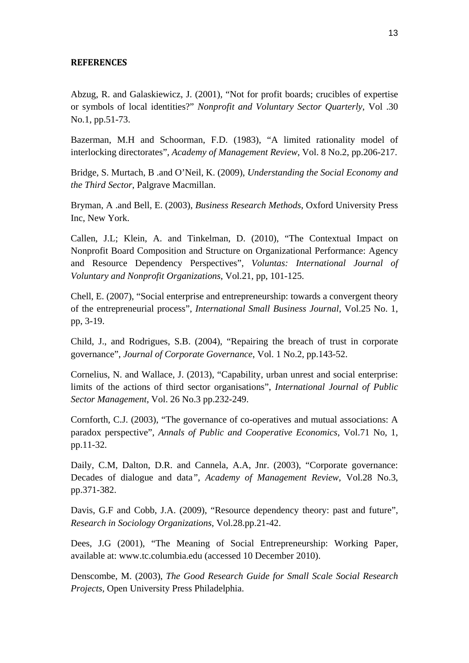### **REFERENCES**

Abzug, R. and Galaskiewicz, J. (2001), "Not for profit boards; crucibles of expertise or symbols of local identities?" *Nonprofit and Voluntary Sector Quarterly*, Vol .30 No.1, pp.51-73.

Bazerman, M.H and Schoorman, F.D. (1983), "A limited rationality model of interlocking directorates", *Academy of Management Review*, Vol. 8 No.2, pp.206-217.

Bridge, S. Murtach, B .and O'Neil, K. (2009), *Understanding the Social Economy and the Third Sector*, Palgrave Macmillan.

Bryman, A .and Bell, E. (2003), *Business Research Methods*, Oxford University Press Inc, New York.

Callen, J.L; Klein, A. and Tinkelman, D. (2010), "The Contextual Impact on Nonprofit Board Composition and Structure on Organizational Performance: Agency and Resource Dependency Perspectives", *Voluntas: International Journal of Voluntary and Nonprofit Organizations*, Vol.21, pp, 101-125.

Chell, E. (2007), "Social enterprise and entrepreneurship: towards a convergent theory of the entrepreneurial process", *International Small Business Journal*, Vol.25 No. 1, pp, 3-19.

Child, J., and Rodrigues, S.B. (2004), "Repairing the breach of trust in corporate governance", *Journal of Corporate Governance*, Vol. 1 No.2, pp.143-52.

Cornelius, N. and Wallace, J. (2013), "Capability, urban unrest and social enterprise: limits of the actions of third sector organisations", *International Journal of Public Sector Management*, Vol. 26 No.3 pp.232-249.

Cornforth, C.J. (2003), "The governance of co-operatives and mutual associations: A paradox perspective", *Annals of Public and Cooperative Economics*, Vol.71 No, 1, pp.11-32.

Daily, C.M, Dalton, D.R. and Cannela, A.A, Jnr. (2003), "Corporate governance: Decades of dialogue and data*", Academy of Management Review*, Vol.28 No.3, pp.371-382.

Davis, G.F and Cobb, J.A. (2009), "Resource dependency theory: past and future", *Research in Sociology Organizations*, Vol.28.pp.21-42.

Dees, J.G (2001), "The Meaning of Social Entrepreneurship: Working Paper, available at: www.tc.columbia.edu (accessed 10 December 2010).

Denscombe, M. (2003), *The Good Research Guide for Small Scale Social Research Projects,* Open University Press Philadelphia.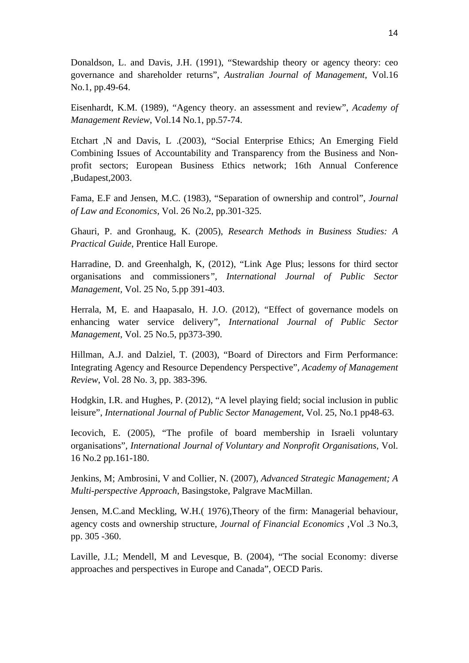Donaldson, L. and Davis, J.H. (1991), "Stewardship theory or agency theory: ceo governance and shareholder returns", *Australian Journal of Management*, Vol.16 No.1, pp.49-64.

Eisenhardt, K.M. (1989), "Agency theory. an assessment and review", *Academy of Management Review*, Vol.14 No.1, pp.57-74.

Etchart ,N and Davis, L .(2003), "Social Enterprise Ethics; An Emerging Field Combining Issues of Accountability and Transparency from the Business and Nonprofit sectors; European Business Ethics network; 16th Annual Conference ,Budapest,2003.

Fama, E.F and Jensen, M.C. (1983), "Separation of ownership and control", *Journal of Law and Economics*, Vol. 26 No.2, pp.301-325.

Ghauri, P. and Gronhaug, K. (2005), *Research Methods in Business Studies: A Practical Guide*, Prentice Hall Europe.

Harradine, D. and Greenhalgh, K, (2012), "Link Age Plus; lessons for third sector organisations and commissioners*", International Journal of Public Sector Management,* Vol. 25 No, 5.pp 391-403.

Herrala, M, E. and Haapasalo, H. J.O. (2012), "Effect of governance models on enhancing water service delivery", *International Journal of Public Sector Management*, Vol. 25 No.5, pp373-390.

Hillman, A.J. and Dalziel, T. (2003), "Board of Directors and Firm Performance: Integrating Agency and Resource Dependency Perspective", *Academy of Management Review*, Vol. 28 No. 3, pp. 383-396.

Hodgkin, I.R. and Hughes, P. (2012), "A level playing field; social inclusion in public leisure", *International Journal of Public Sector Management*, Vol. 25, No.1 pp48-63.

Iecovich, E. (2005), "The profile of board membership in Israeli voluntary organisations", *International Journal of Voluntary and Nonprofit Organisations*, Vol. 16 No.2 pp.161-180.

Jenkins, M; Ambrosini, V and Collier, N. (2007), *Advanced Strategic Management; A Multi-perspective Approach*, Basingstoke, Palgrave MacMillan.

Jensen, M.C.and Meckling, W.H.( 1976),Theory of the firm: Managerial behaviour, agency costs and ownership structure, *Journal of Financial Economics* ,Vol .3 No.3, pp. 305 -360.

Laville, J.L; Mendell, M and Levesque, B. (2004), "The social Economy: diverse approaches and perspectives in Europe and Canada", OECD Paris.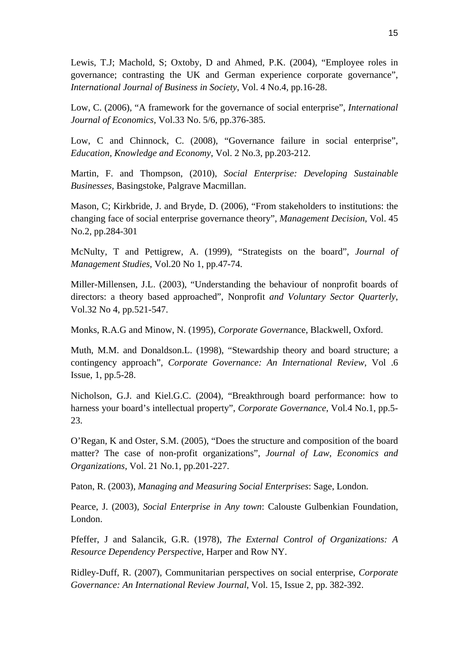Lewis, T.J; Machold, S; Oxtoby, D and Ahmed, P.K. (2004), "Employee roles in governance; contrasting the UK and German experience corporate governance", *International Journal of Business in Society*, Vol. 4 No.4, pp.16-28.

Low, C. (2006), "A framework for the governance of social enterprise", *International Journal of Economics*, Vol.33 No. 5/6, pp.376-385.

Low, C and Chinnock, C. (2008), "Governance failure in social enterprise", *Education, Knowledge and Economy*, Vol. 2 No.3, pp.203-212.

Martin, F. and Thompson, (2010), *Social Enterprise: Developing Sustainable Businesses,* Basingstoke, Palgrave Macmillan.

Mason, C; Kirkbride, J. and Bryde, D. (2006), "From stakeholders to institutions: the changing face of social enterprise governance theory", *Management Decision*, Vol. 45 No.2, pp.284-301

McNulty, T and Pettigrew, A. (1999), "Strategists on the board", *Journal of Management Studies*, Vol.20 No 1, pp.47-74.

Miller-Millensen, J.L. (2003), "Understanding the behaviour of nonprofit boards of directors: a theory based approached", Nonprofit *and Voluntary Sector Quarterly*, Vol.32 No 4, pp.521-547.

Monks, R.A.G and Minow, N. (1995), *Corporate Govern*ance, Blackwell, Oxford.

Muth, M.M. and Donaldson.L. (1998), "Stewardship theory and board structure; a contingency approach", *Corporate Governance: An International Review*, Vol .6 Issue, 1, pp.5-28.

Nicholson, G.J. and Kiel.G.C. (2004), "Breakthrough board performance: how to harness your board's intellectual property", *Corporate Governance*, Vol.4 No.1, pp.5- 23.

O'Regan, K and Oster, S.M. (2005), "Does the structure and composition of the board matter? The case of non-profit organizations", *Journal of Law, Economics and Organizations*, Vol. 21 No.1, pp.201-227.

Paton, R. (2003), *Managing and Measuring Social Enterprises*: Sage, London.

Pearce, J. (2003), *Social Enterprise in Any town*: Calouste Gulbenkian Foundation, London.

Pfeffer, J and Salancik, G.R. (1978), *The External Control of Organizations: A Resource Dependency Perspective*, Harper and Row NY.

Ridley-Duff, R. (2007), Communitarian perspectives on social enterprise, *Corporate Governance: An International Review Journal*, Vol. 15, Issue 2, pp. 382-392.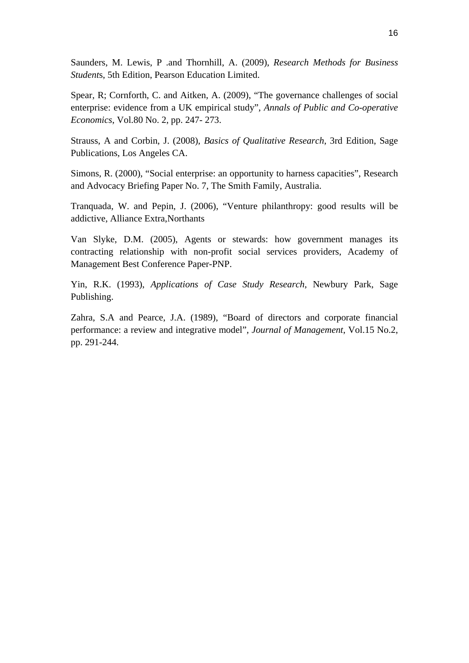Saunders, M. Lewis, P .and Thornhill, A. (2009), *Research Methods for Business Student*s, 5th Edition, Pearson Education Limited.

Spear, R; Cornforth, C. and Aitken, A. (2009), "The governance challenges of social enterprise: evidence from a UK empirical study", *Annals of Public and Co-operative Economics*, Vol.80 No. 2, pp. 247- 273.

Strauss, A and Corbin, J. (2008), *Basics of Qualitative Research*, 3rd Edition, Sage Publications, Los Angeles CA.

Simons, R. (2000), "Social enterprise: an opportunity to harness capacities", Research and Advocacy Briefing Paper No. 7, The Smith Family, Australia.

Tranquada, W. and Pepin, J. (2006), "Venture philanthropy: good results will be addictive, Alliance Extra,Northants

Van Slyke, D.M. (2005), Agents or stewards: how government manages its contracting relationship with non-profit social services providers, Academy of Management Best Conference Paper-PNP.

Yin, R.K. (1993), *Applications of Case Study Research*, Newbury Park, Sage Publishing.

Zahra, S.A and Pearce, J.A. (1989), "Board of directors and corporate financial performance: a review and integrative model", *Journal of Management*, Vol.15 No.2, pp. 291-244.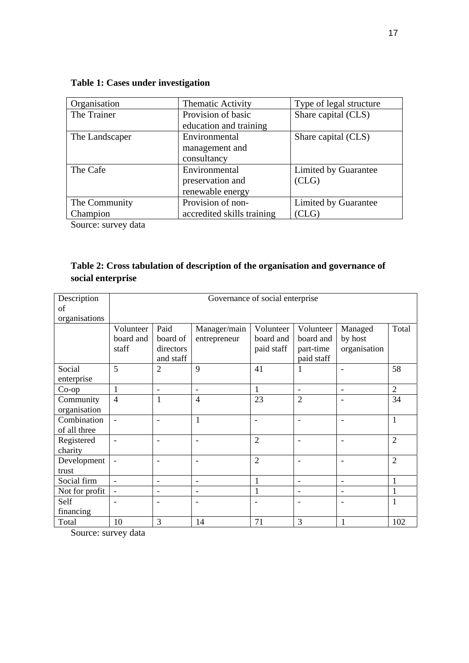| Organisation   | Thematic Activity          | Type of legal structure |
|----------------|----------------------------|-------------------------|
| The Trainer    | Provision of basic         | Share capital (CLS)     |
|                | education and training     |                         |
| The Landscaper | Environmental              | Share capital (CLS)     |
|                | management and             |                         |
|                | consultancy                |                         |
| The Cafe       | Environmental              | Limited by Guarantee    |
|                | preservation and           | CLG)                    |
|                | renewable energy           |                         |
| The Community  | Provision of non-          | Limited by Guarantee    |
| Champion       | accredited skills training | (CLG)                   |

# **Table 1: Cases under investigation**

Source: survey data

|                   | Table 2: Cross tabulation of description of the organisation and governance of |  |
|-------------------|--------------------------------------------------------------------------------|--|
| social enterprise |                                                                                |  |

| Description                 | Governance of social enterprise |                                            |                              |                                      |                                                   |                                    |                |
|-----------------------------|---------------------------------|--------------------------------------------|------------------------------|--------------------------------------|---------------------------------------------------|------------------------------------|----------------|
| of                          |                                 |                                            |                              |                                      |                                                   |                                    |                |
| organisations               |                                 |                                            |                              |                                      |                                                   |                                    |                |
|                             | Volunteer<br>board and<br>staff | Paid<br>board of<br>directors<br>and staff | Manager/main<br>entrepreneur | Volunteer<br>board and<br>paid staff | Volunteer<br>board and<br>part-time<br>paid staff | Managed<br>by host<br>organisation | Total          |
| Social<br>enterprise        | 5                               | $\overline{2}$                             | 9                            | 41                                   |                                                   |                                    | 58             |
| $Co$ -op                    | $\mathbf{1}$                    | $\overline{\phantom{a}}$                   | $\overline{\phantom{a}}$     | $\mathbf{1}$                         | $\overline{\phantom{a}}$                          | $\overline{\phantom{a}}$           | $\overline{2}$ |
| Community<br>organisation   | $\overline{4}$                  | $\mathbf{1}$                               | $\overline{4}$               | 23                                   | $\overline{2}$                                    | $\overline{\phantom{a}}$           | 34             |
| Combination<br>of all three | $\overline{\phantom{a}}$        | ٠                                          | $\mathbf{1}$                 | ۰                                    | $\overline{\phantom{0}}$                          |                                    | $\mathbf{1}$   |
| Registered<br>charity       | ٠                               | $\qquad \qquad -$                          | $\overline{\phantom{a}}$     | $\overline{2}$                       | $\blacksquare$                                    | $\overline{\phantom{a}}$           | $\overline{2}$ |
| Development<br>trust        | $\overline{\phantom{a}}$        | $\overline{\phantom{a}}$                   | $\overline{\phantom{a}}$     | $\overline{2}$                       | $\overline{\phantom{a}}$                          |                                    | $\overline{2}$ |
| Social firm                 | $\blacksquare$                  | $\overline{\phantom{a}}$                   | $\overline{\phantom{a}}$     | 1                                    | $\overline{\phantom{a}}$                          | $\overline{\phantom{a}}$           | $\mathbf{1}$   |
| Not for profit              | $\qquad \qquad -$               | $\overline{\phantom{a}}$                   | $\overline{\phantom{a}}$     | 1                                    | $\overline{\phantom{a}}$                          | $\overline{\phantom{a}}$           | 1              |
| Self<br>financing           |                                 | $\overline{\phantom{a}}$                   | $\overline{\phantom{0}}$     |                                      | $\overline{\phantom{0}}$                          |                                    | 1              |
| Total                       | 10                              | 3                                          | 14                           | 71                                   | 3                                                 | $\mathbf{1}$                       | 102            |

Source: survey data